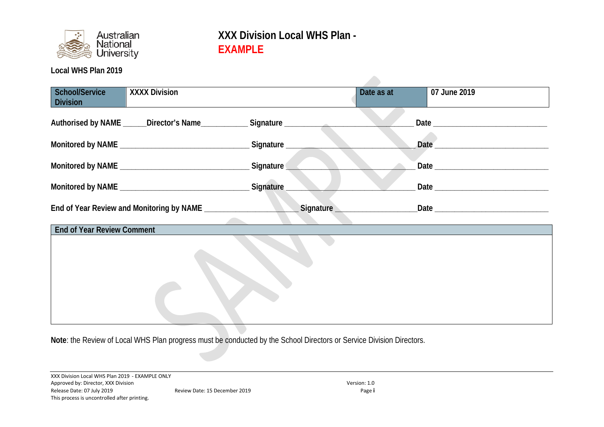

**Local WHS Plan 2019**

| <b>School/Service</b><br><b>XXXX Division</b><br><b>Division</b>                 | Date as at                     | 07 June 2019                                                                                                                                                                                                                   |
|----------------------------------------------------------------------------------|--------------------------------|--------------------------------------------------------------------------------------------------------------------------------------------------------------------------------------------------------------------------------|
| Authorised by NAME ______Director's Name_______________Signature _______________ |                                |                                                                                                                                                                                                                                |
|                                                                                  |                                | Date                                                                                                                                                                                                                           |
|                                                                                  | Signature                      |                                                                                                                                                                                                                                |
|                                                                                  |                                | Date and the contract of the contract of the contract of the contract of the contract of the contract of the contract of the contract of the contract of the contract of the contract of the contract of the contract of the c |
| End of Year Review and Monitoring by NAME __________________                     | Signature <u>Communication</u> |                                                                                                                                                                                                                                |
| <b>End of Year Review Comment</b>                                                |                                |                                                                                                                                                                                                                                |
|                                                                                  |                                |                                                                                                                                                                                                                                |

**Note**: the Review of Local WHS Plan progress must be conducted by the School Directors or Service Division Directors.

 $\mathcal{L}$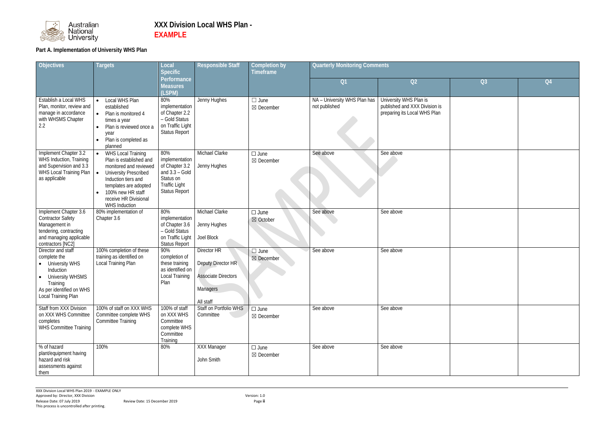

### **Part A. Implementation of University WHS Plan**

| Objectives                                                                                                                                                                 | <b>Targets</b>                                                                                                                                                                                                                                                              | Local<br><b>Specific</b>                                                                                                 | <b>Responsible Staff</b>                                                                        | <b>Completion by</b><br>Timeframe <sup>1</sup> | <b>Quarterly Monitoring Comments</b>          |                                                                                         |                |                |
|----------------------------------------------------------------------------------------------------------------------------------------------------------------------------|-----------------------------------------------------------------------------------------------------------------------------------------------------------------------------------------------------------------------------------------------------------------------------|--------------------------------------------------------------------------------------------------------------------------|-------------------------------------------------------------------------------------------------|------------------------------------------------|-----------------------------------------------|-----------------------------------------------------------------------------------------|----------------|----------------|
|                                                                                                                                                                            |                                                                                                                                                                                                                                                                             | Performance<br><b>Measures</b><br>(LSPM)                                                                                 |                                                                                                 |                                                | Q1                                            | Q2                                                                                      | Q <sub>3</sub> | Q <sub>4</sub> |
| Establish a Local WHS<br>Plan, monitor, review and<br>manage in accordance<br>with WHSMS Chapter<br>2.2                                                                    | Local WHS Plan<br>$\bullet$<br>established<br>Plan is monitored 4<br>$\bullet$<br>times a year<br>Plan is reviewed once a<br>year<br>Plan is completed as<br>planned                                                                                                        | 80%<br>implementation<br>of Chapter 2.2<br>- Gold Status<br>on Traffic Light<br><b>Status Report</b>                     | Jenny Hughes                                                                                    | $\Box$ June<br>$\boxtimes$ December            | NA - University WHS Plan has<br>not published | University WHS Plan is<br>published and XXX Division is<br>preparing its Local WHS Plan |                |                |
| Implement Chapter 3.2<br>WHS Induction, Training<br>and Supervision and 3.3<br>WHS Local Training Plan<br>as applicable                                                    | <b>WHS Local Training</b><br>$\bullet$<br>Plan is established and<br>monitored and reviewed<br>$\mathbf{1}$ $\bullet$<br><b>University Prescribed</b><br>Induction tiers and<br>templates are adopted<br>100% new HR staff<br>receive HR Divisional<br><b>WHS Induction</b> | 80%<br>implementation<br>of Chapter 3.2<br>and $3.3 - Gold$<br>Status on<br><b>Traffic Light</b><br><b>Status Report</b> | Michael Clarke<br>Jenny Hughes                                                                  | $\Box$ June<br>⊠ December                      | See above                                     | See above                                                                               |                |                |
| Implement Chapter 3.6<br><b>Contractor Safety</b><br>Management in<br>tendering, contracting<br>and managing applicable<br>contractors [NC2]                               | 80% implementation of<br>Chapter 3.6                                                                                                                                                                                                                                        | 80%<br>implementation<br>of Chapter 3.6<br>- Gold Status<br>on Traffic Light<br><b>Status Report</b>                     | Michael Clarke<br>Jenny Hughes<br>Joel Block                                                    | $\square$ June<br>⊠ October                    | See above                                     | See above                                                                               |                |                |
| Director and staff<br>complete the<br>• University WHS<br>Induction<br><b>University WHSMS</b><br>$\bullet$<br>Training<br>As per identified on WHS<br>Local Training Plan | 100% completion of these<br>training as identified on<br>Local Training Plan                                                                                                                                                                                                | 90%<br>completion of<br>these training<br>as identified on<br>Local Training<br>Plan                                     | Director HR<br>Deputy Director HR<br><b>Associate Directors</b><br><b>Managers</b><br>All staff | $\Box$ June<br>⊠ December                      | See above                                     | See above                                                                               |                |                |
| Staff from XXX Division<br>on XXX WHS Committee<br>completes<br><b>WHS Committee Training</b>                                                                              | 100% of staff on XXX WHS<br>Committee complete WHS<br><b>Committee Training</b>                                                                                                                                                                                             | 100% of staff<br>on XXX WHS<br>Committee<br>complete WHS<br>Committee<br>Training                                        | Staff on Portfolio WHS<br>Committee                                                             | $\Box$ June<br>$\boxtimes$ December            | See above                                     | See above                                                                               |                |                |
| % of hazard<br>plant/equipment having<br>hazard and risk<br>assessments against<br>them                                                                                    | 100%                                                                                                                                                                                                                                                                        | 80%                                                                                                                      | <b>XXX Manager</b><br>John Smith                                                                | $\Box$ June<br>$\boxtimes$ December            | See above                                     | See above                                                                               |                |                |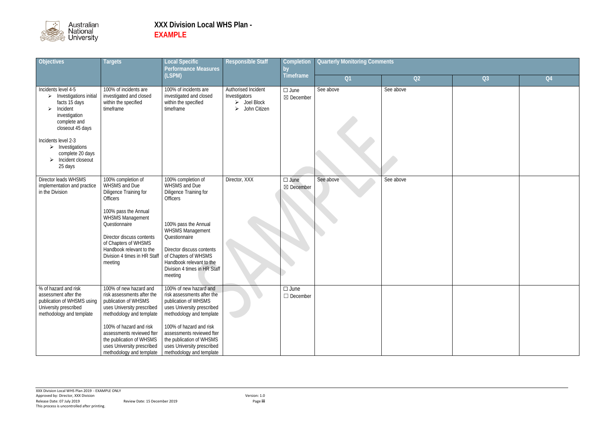

| Objectives                                                                                                                                                                                                                                                                                       | <b>Targets</b>                                                                                                                                                                                                                                                                       | <b>Local Specific</b><br>Performance Measures                                                                                                                                                                                                                                        | <b>Responsible Staff</b>                                                                             | Completion<br>by                       | <b>Quarterly Monitoring Comments</b> |           |    |                |
|--------------------------------------------------------------------------------------------------------------------------------------------------------------------------------------------------------------------------------------------------------------------------------------------------|--------------------------------------------------------------------------------------------------------------------------------------------------------------------------------------------------------------------------------------------------------------------------------------|--------------------------------------------------------------------------------------------------------------------------------------------------------------------------------------------------------------------------------------------------------------------------------------|------------------------------------------------------------------------------------------------------|----------------------------------------|--------------------------------------|-----------|----|----------------|
|                                                                                                                                                                                                                                                                                                  |                                                                                                                                                                                                                                                                                      | (LSPM)                                                                                                                                                                                                                                                                               |                                                                                                      | Timeframe                              | Q1                                   | Q2        | Q3 | Q <sub>4</sub> |
| Incidents level 4-5<br>$\triangleright$ Investigations initial<br>facts 15 days<br>$\triangleright$ Incident<br>investigation<br>complete and<br>closeout 45 days<br>Incidents level 2-3<br>$\triangleright$ Investigations<br>complete 20 days<br>$\triangleright$ Incident closeout<br>25 days | 100% of incidents are<br>investigated and closed<br>within the specified<br>timeframe                                                                                                                                                                                                | 100% of incidents are<br>investigated and closed<br>within the specified<br>timeframe                                                                                                                                                                                                | Authorised Incident<br>Investigators<br>$\triangleright$ Joel Block<br>$\triangleright$ John Citizen | $\square$ June<br>$\boxtimes$ December | See above                            | See above |    |                |
| <b>Director leads WHSMS</b><br>implementation and practice<br>in the Division                                                                                                                                                                                                                    | 100% completion of<br>WHSMS and Due<br>Diligence Training for<br><b>Officers</b><br>100% pass the Annual<br><b>WHSMS Management</b><br>Questionnaire<br>Director discuss contents<br>of Chapters of WHSMS<br>Handbook relevant to the<br>Division 4 times in HR Staff<br>meeting     | 100% completion of<br>WHSMS and Due<br>Diligence Training for<br><b>Officers</b><br>100% pass the Annual<br><b>WHSMS Management</b><br>Questionnaire<br>Director discuss contents<br>of Chapters of WHSMS<br>Handbook relevant to the<br>Division 4 times in HR Staff<br>meeting     | Director, XXX                                                                                        | $\Box$ June<br>$\boxtimes$ December    | See above                            | See above |    |                |
| % of hazard and risk<br>assessment after the<br>publication of WHSMS using<br>University prescribed<br>methodology and template                                                                                                                                                                  | 100% of new hazard and<br>risk assessments after the<br>publication of WHSMS<br>uses University prescribed<br>methodology and template<br>100% of hazard and risk<br>assessments reviewed fter<br>the publication of WHSMS<br>uses University prescribed<br>methodology and template | 100% of new hazard and<br>risk assessments after the<br>publication of WHSMS<br>uses University prescribed<br>methodology and template<br>100% of hazard and risk<br>assessments reviewed fter<br>the publication of WHSMS<br>uses University prescribed<br>methodology and template |                                                                                                      | $\square$ June<br>$\Box$ December      |                                      |           |    |                |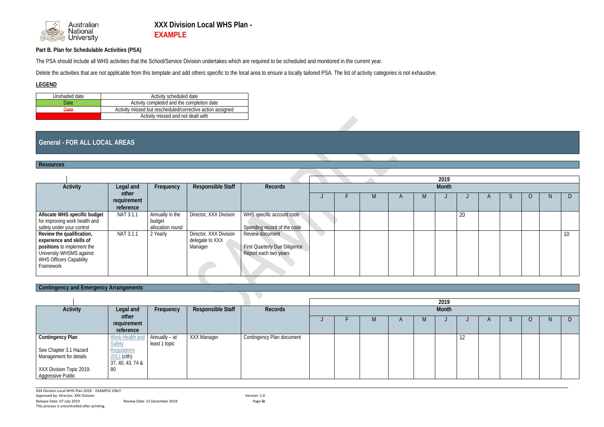

#### **Part B. Plan for Schedulable Activities (PSA)**

The PSA should include all WHS activities that the School/Service Division undertakes which are required to be scheduled and monitored in the current year.

Delete the activities that are not applicable from this template and add others specific to the local area to ensure a locally tailored PSA. The list of activity categories is not exhaustive.

#### **LEGEND**

| Unshaded date   | Activity scheduled date                                    |
|-----------------|------------------------------------------------------------|
| Date            | Activity completed and the completion date                 |
| <del>Date</del> | Activity missed but rescheduled/corrective action assigned |
|                 | Activity missed and not dealt with                         |

### **General - FOR ALL LOCAL AREAS**

#### **Resources**

|                               |             |                  |                          |                               |  |            |              |           | 2019         |    |  |  |    |
|-------------------------------|-------------|------------------|--------------------------|-------------------------------|--|------------|--------------|-----------|--------------|----|--|--|----|
| <b>Activity</b>               | Legal and   | Frequency        | <b>Responsible Staff</b> | <b>Records</b>                |  |            |              |           | <b>Month</b> |    |  |  |    |
|                               | other       |                  |                          |                               |  | <b>IVI</b> | $\mathsf{A}$ | <b>IV</b> |              |    |  |  | D  |
|                               | requirement |                  |                          |                               |  |            |              |           |              |    |  |  |    |
|                               | reference   |                  |                          |                               |  |            |              |           |              |    |  |  |    |
| Allocate WHS specific budget  | NAT 3.1.1   | Annually in the  | Director, XXX Division   | WHS specific account code     |  |            |              |           |              | 20 |  |  |    |
| for improving work health and |             | budget           |                          |                               |  |            |              |           |              |    |  |  |    |
| safety under your control     |             | allocation round |                          | Spending record of the code   |  |            |              |           |              |    |  |  |    |
| Review the qualification,     | NAT 3.1.1   | 2 Yearly         | Director, XXX Division   | Review document               |  |            |              |           |              |    |  |  | 10 |
| experience and skills of      |             |                  | delegate to XXX          |                               |  |            |              |           |              |    |  |  |    |
| positions to implement the    |             |                  | Manager                  | First Quarterly Due Diligence |  |            |              |           |              |    |  |  |    |
| University WHSMS against      |             |                  |                          | Report each two years         |  |            |              |           |              |    |  |  |    |
| WHS Officers Capability       |             |                  |                          |                               |  |            |              |           |              |    |  |  |    |
| Framework                     |             |                  |                          |                               |  |            |              |           |              |    |  |  |    |
|                               |             |                  |                          |                               |  |            |              |           |              |    |  |  |    |

#### **Contingency and Emergency Arrangements**

|                          |                            |                              |                          |                           |  |              |              | 2019         |    |  |  |   |
|--------------------------|----------------------------|------------------------------|--------------------------|---------------------------|--|--------------|--------------|--------------|----|--|--|---|
| <b>Activity</b>          | Legal and                  | Frequency                    | <b>Responsible Staff</b> | <b>Records</b>            |  |              |              | <b>Month</b> |    |  |  |   |
|                          | other                      |                              |                          |                           |  | $\mathbf{v}$ | $\mathsf{A}$ |              |    |  |  | D |
|                          | requirement                |                              |                          |                           |  |              |              |              |    |  |  |   |
|                          | reference                  |                              |                          |                           |  |              |              |              |    |  |  |   |
| <b>Contingency Plan</b>  | <b>Work Health and</b>     | $\blacksquare$ Annually – at | XXX Manager              | Contingency Plan document |  |              |              |              | 12 |  |  |   |
|                          | <b>Safety</b>              | least 1 topic                |                          |                           |  |              |              |              |    |  |  |   |
| See Chapter 3.1 Hazard   | Regulations<br>2011 (clth) |                              |                          |                           |  |              |              |              |    |  |  |   |
| Management for details   |                            |                              |                          |                           |  |              |              |              |    |  |  |   |
|                          | $37, 40, 43, 74$ &         |                              |                          |                           |  |              |              |              |    |  |  |   |
| XXX Division Topic 2019: | 80                         |                              |                          |                           |  |              |              |              |    |  |  |   |
| Aggressive Public        |                            |                              |                          |                           |  |              |              |              |    |  |  |   |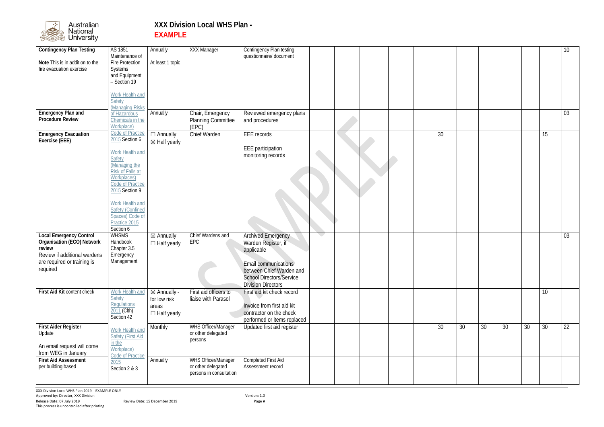

| <b>Contingency Plan Testing</b> | AS 1851                   | Annually                | <b>XXX Manager</b>        | Contingency Plan testing        |                             |  |  |                 |    |    |    |    |                 | 10 |
|---------------------------------|---------------------------|-------------------------|---------------------------|---------------------------------|-----------------------------|--|--|-----------------|----|----|----|----|-----------------|----|
|                                 | Maintenance of            |                         |                           | questionnaire/ document         |                             |  |  |                 |    |    |    |    |                 |    |
| Note This is in addition to the | <b>Fire Protection</b>    | At least 1 topic        |                           |                                 |                             |  |  |                 |    |    |    |    |                 |    |
| fire evacuation exercise        | <b>Systems</b>            |                         |                           |                                 |                             |  |  |                 |    |    |    |    |                 |    |
|                                 | and Equipment             |                         |                           |                                 |                             |  |  |                 |    |    |    |    |                 |    |
|                                 | - Section 19              |                         |                           |                                 |                             |  |  |                 |    |    |    |    |                 |    |
|                                 |                           |                         |                           |                                 |                             |  |  |                 |    |    |    |    |                 |    |
|                                 | Work Health and           |                         |                           |                                 |                             |  |  |                 |    |    |    |    |                 |    |
|                                 | Safety                    |                         |                           |                                 |                             |  |  |                 |    |    |    |    |                 |    |
|                                 |                           |                         |                           |                                 |                             |  |  |                 |    |    |    |    |                 |    |
| Emergency Plan and              | (Managing Risks           | Annually                |                           |                                 |                             |  |  |                 |    |    |    |    |                 | 03 |
|                                 | of Hazardous              |                         | Chair, Emergency          | Reviewed emergency plans        |                             |  |  |                 |    |    |    |    |                 |    |
| <b>Procedure Review</b>         | Chemicals in the          |                         | <b>Planning Committee</b> | and procedures                  |                             |  |  |                 |    |    |    |    |                 |    |
|                                 | Workplace)                |                         | (EPC)                     |                                 |                             |  |  |                 |    |    |    |    |                 |    |
| <b>Emergency Evacuation</b>     | <b>Code of Practice</b>   | $\Box$ Annually         | Chief Warden              | EEE records                     |                             |  |  | 30 <sup>°</sup> |    |    |    |    | 15              |    |
| Exercise (EEE)                  | 2015 Section 6            | $\boxtimes$ Half yearly |                           |                                 |                             |  |  |                 |    |    |    |    |                 |    |
|                                 |                           |                         |                           | <b>EEE</b> participation        |                             |  |  |                 |    |    |    |    |                 |    |
|                                 | Work Health and           |                         |                           |                                 |                             |  |  |                 |    |    |    |    |                 |    |
|                                 | Safety                    |                         |                           | monitoring records              |                             |  |  |                 |    |    |    |    |                 |    |
|                                 | (Managing the             |                         |                           |                                 |                             |  |  |                 |    |    |    |    |                 |    |
|                                 | <b>Risk of Falls at</b>   |                         |                           |                                 |                             |  |  |                 |    |    |    |    |                 |    |
|                                 | Workplaces)               |                         |                           |                                 |                             |  |  |                 |    |    |    |    |                 |    |
|                                 | <b>Code of Practice</b>   |                         |                           |                                 |                             |  |  |                 |    |    |    |    |                 |    |
|                                 | 2015 Section 9            |                         |                           |                                 |                             |  |  |                 |    |    |    |    |                 |    |
|                                 |                           |                         |                           |                                 |                             |  |  |                 |    |    |    |    |                 |    |
|                                 | Work Health and           |                         |                           |                                 |                             |  |  |                 |    |    |    |    |                 |    |
|                                 | <b>Safety (Confined</b>   |                         |                           |                                 |                             |  |  |                 |    |    |    |    |                 |    |
|                                 |                           |                         |                           |                                 |                             |  |  |                 |    |    |    |    |                 |    |
|                                 | Spaces) Code of           |                         |                           |                                 |                             |  |  |                 |    |    |    |    |                 |    |
|                                 | Practice 2015             |                         |                           |                                 |                             |  |  |                 |    |    |    |    |                 |    |
|                                 | Section 6                 |                         |                           |                                 |                             |  |  |                 |    |    |    |    |                 |    |
| <b>Local Emergency Control</b>  | <b>WHSMS</b>              | $\boxtimes$ Annually    | Chief Wardens and         | Archived Emergency              | $\mathcal{L}^{\mathcal{A}}$ |  |  |                 |    |    |    |    |                 | 03 |
| Organisation (ECO) Network      | Handbook                  | $\Box$ Half yearly      | EPC                       | Warden Register, i              |                             |  |  |                 |    |    |    |    |                 |    |
| review                          | Chapter 3.5               |                         |                           | applicable                      |                             |  |  |                 |    |    |    |    |                 |    |
| Review if additional wardens    | Emergency                 |                         |                           |                                 |                             |  |  |                 |    |    |    |    |                 |    |
| are required or training is     | Management                |                         |                           | <b>Email communications</b>     |                             |  |  |                 |    |    |    |    |                 |    |
| required                        |                           |                         |                           |                                 |                             |  |  |                 |    |    |    |    |                 |    |
|                                 |                           |                         |                           | between Chief Warden and        |                             |  |  |                 |    |    |    |    |                 |    |
|                                 |                           |                         |                           | <b>School Directors/Service</b> |                             |  |  |                 |    |    |    |    |                 |    |
|                                 |                           |                         |                           | <b>Division Directors</b>       |                             |  |  |                 |    |    |    |    |                 |    |
| First Aid Kit content check     | Work Health and           | $\boxtimes$ Annually -  | First aid officers to     | First aid kit check record      |                             |  |  |                 |    |    |    |    | 10 <sup>1</sup> |    |
|                                 | Safety                    | for low risk            | liaise with Parasol       |                                 |                             |  |  |                 |    |    |    |    |                 |    |
|                                 | Regulations               | areas                   |                           | Invoice from first aid kit      |                             |  |  |                 |    |    |    |    |                 |    |
|                                 | 2011 (Clth)               | $\Box$ Half yearly      |                           | contractor on the check         |                             |  |  |                 |    |    |    |    |                 |    |
|                                 | Section 42                |                         |                           |                                 |                             |  |  |                 |    |    |    |    |                 |    |
|                                 |                           |                         |                           | performed or items replaced     |                             |  |  |                 |    |    |    |    |                 |    |
| <b>First Aider Register</b>     | <b>Work Health and</b>    | Monthly                 | WHS Officer/Manager       | Updated first aid register      |                             |  |  | 30              | 30 | 30 | 30 | 30 | 30              | 22 |
| Update                          | <b>Safety (First Aid)</b> |                         | or other delegated        |                                 |                             |  |  |                 |    |    |    |    |                 |    |
|                                 | in the                    |                         | persons                   |                                 |                             |  |  |                 |    |    |    |    |                 |    |
| An email request will come      | Workplace)                |                         |                           |                                 |                             |  |  |                 |    |    |    |    |                 |    |
| from WEG in January             | <b>Code of Practice</b>   |                         |                           |                                 |                             |  |  |                 |    |    |    |    |                 |    |
| <b>First Aid Assessment</b>     | 2015                      | Annually                | WHS Officer/Manager       | <b>Completed First Aid</b>      |                             |  |  |                 |    |    |    |    |                 |    |
| per building based              | Section 2 & 3             |                         | or other delegated        | Assessment record               |                             |  |  |                 |    |    |    |    |                 |    |
|                                 |                           |                         | persons in consultation   |                                 |                             |  |  |                 |    |    |    |    |                 |    |
|                                 |                           |                         |                           |                                 |                             |  |  |                 |    |    |    |    |                 |    |
|                                 |                           |                         |                           |                                 |                             |  |  |                 |    |    |    |    |                 |    |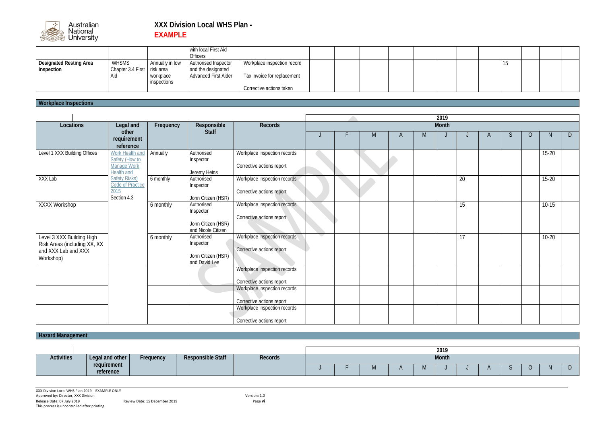

|                                       |                                               |                          | with local First Aid<br><b>Officers</b>    |                                                         |  |  |  |  |     |  |
|---------------------------------------|-----------------------------------------------|--------------------------|--------------------------------------------|---------------------------------------------------------|--|--|--|--|-----|--|
| Designated Resting Area<br>inspection | <b>WHSMS</b><br>Chapter 3.4 First   risk area | Annually in low          | Authorised Inspector<br>and the designated | Workplace inspection record                             |  |  |  |  | 1 J |  |
|                                       | Aid                                           | workplace<br>inspections | <b>Advanced First Aider</b>                | Tax invoice for replacement<br>Corrective actions taken |  |  |  |  |     |  |

#### **Workplace Inspections**

|                              |                         |           |                    |                              |    |   |   |   | 2019  |    |   |   |                |           |   |
|------------------------------|-------------------------|-----------|--------------------|------------------------------|----|---|---|---|-------|----|---|---|----------------|-----------|---|
| Locations                    | Legal and               | Frequency | Responsible        | <b>Records</b>               |    |   |   |   | Month |    |   |   |                |           |   |
|                              | other                   |           | <b>Staff</b>       |                              |    | M | A | M |       |    | A | S | $\overline{O}$ | N.        | D |
|                              | requirement             |           |                    |                              |    |   |   |   |       |    |   |   |                |           |   |
|                              | reference               |           |                    |                              |    |   |   |   |       |    |   |   |                |           |   |
| Level 1 XXX Building Offices | Work Health and         | Annually  | Authorised         | Workplace inspection records |    |   |   |   |       |    |   |   |                | $15-20$   |   |
|                              | Safety (How to          |           | Inspector          |                              |    |   |   |   |       |    |   |   |                |           |   |
|                              | Manage Work             |           |                    | Corrective actions report    |    |   |   |   |       |    |   |   |                |           |   |
|                              | <b>Health and</b>       |           | Jeremy Heins       |                              |    |   |   |   |       |    |   |   |                |           |   |
| XXX Lab                      | <b>Safety Risks)</b>    | 6 monthly | Authorised         | Workplace inspection records |    |   |   |   |       | 20 |   |   |                | $15-20$   |   |
|                              | <b>Code of Practice</b> |           | Inspector          |                              |    |   |   |   |       |    |   |   |                |           |   |
|                              | 2015<br>Section 4.3     |           |                    | Corrective actions report    |    |   |   |   |       |    |   |   |                |           |   |
|                              |                         |           | John Citizen (HSR) |                              |    |   |   |   |       |    |   |   |                |           |   |
| <b>XXXX Workshop</b>         |                         | 6 monthly | Authorised         | Workplace inspection records |    |   |   |   |       | 15 |   |   |                | $10 - 15$ |   |
|                              |                         |           | Inspector          | Corrective actions report    |    |   |   |   |       |    |   |   |                |           |   |
|                              |                         |           | John Citizen (HSR) |                              |    |   |   |   |       |    |   |   |                |           |   |
|                              |                         |           | and Nicole Citizen |                              |    |   |   |   |       |    |   |   |                |           |   |
| Level 3 XXX Building High    |                         | 6 monthly | Authorised         | Workplace inspection records | k. |   |   |   |       | 17 |   |   |                | $10 - 20$ |   |
| Risk Areas (including XX, XX |                         |           | Inspector          |                              |    |   |   |   |       |    |   |   |                |           |   |
| and XXX Lab and XXX          |                         |           |                    | Corrective actions report    |    |   |   |   |       |    |   |   |                |           |   |
| Workshop)                    |                         |           | John Citizen (HSR) |                              |    |   |   |   |       |    |   |   |                |           |   |
|                              |                         |           | and David Lee      |                              |    |   |   |   |       |    |   |   |                |           |   |
|                              |                         |           |                    | Workplace inspection records |    |   |   |   |       |    |   |   |                |           |   |
|                              |                         |           |                    |                              |    |   |   |   |       |    |   |   |                |           |   |
|                              |                         |           |                    | Corrective actions report    |    |   |   |   |       |    |   |   |                |           |   |
|                              |                         |           |                    | Workplace inspection records |    |   |   |   |       |    |   |   |                |           |   |
|                              |                         |           |                    |                              |    |   |   |   |       |    |   |   |                |           |   |
|                              |                         |           |                    | Corrective actions report    |    |   |   |   |       |    |   |   |                |           |   |
|                              |                         |           |                    | Workplace inspection records |    |   |   |   |       |    |   |   |                |           |   |
|                              |                         |           |                    |                              |    |   |   |   |       |    |   |   |                |           |   |
|                              |                         |           |                    | Corrective actions report    |    |   |   |   |       |    |   |   |                |           |   |

| <b>Hazard Management</b> |                          |           |                          |         |  |   |     |       |              |   |  |   |
|--------------------------|--------------------------|-----------|--------------------------|---------|--|---|-----|-------|--------------|---|--|---|
|                          |                          |           |                          |         |  |   |     |       |              |   |  |   |
|                          |                          |           |                          |         |  |   |     | 2019  |              |   |  |   |
| <b>Activities</b>        | Legal and other          | Frequency | <b>Responsible Staff</b> | Records |  |   |     | Month |              |   |  |   |
|                          | requirement<br>reference |           |                          |         |  | H | ΙVΙ |       | $\mathbf{I}$ | ີ |  | D |
|                          |                          |           |                          |         |  |   |     |       |              |   |  |   |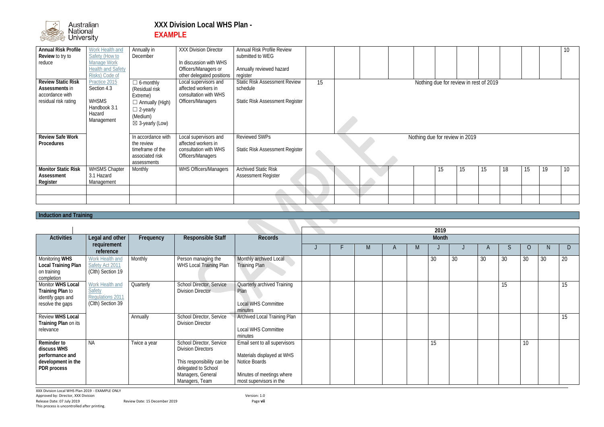

| <b>Annual Risk Profile</b><br>Review to try to<br>reduce                               | Work Health and<br>Safety (How to<br><b>Manage Work</b><br><b>Health and Safety</b><br>Risks) Code of | Annually in<br>December                                                                                                               | <b>XXX Division Director</b><br>In discussion with WHS<br>Officers/Managers or<br>other delegated positions | <b>Annual Risk Profile Review</b><br>submitted to WEG<br>Annually reviewed hazard<br>register |    |  |                                        |    |    |    |    |    | 10 |
|----------------------------------------------------------------------------------------|-------------------------------------------------------------------------------------------------------|---------------------------------------------------------------------------------------------------------------------------------------|-------------------------------------------------------------------------------------------------------------|-----------------------------------------------------------------------------------------------|----|--|----------------------------------------|----|----|----|----|----|----|
| <b>Review Static Risk</b><br>Assessments in<br>accordance with<br>residual risk rating | Practice 2015<br>Section 4.3<br><b>WHSMS</b><br>Handbook 3.1<br>Hazard<br>Management                  | $\Box$ 6-monthly<br>(Residual risk<br>Extreme)<br>$\Box$ Annually (High)<br>$\Box$ 2-yearly<br>(Medium)<br>$\boxtimes$ 3-yearly (Low) | Local supervisors and<br>affected workers in<br>consultation with WHS<br>Officers/Managers                  | <b>Static Risk Assessment Review</b><br>schedule<br><b>Static Risk Assessment Register</b>    | 15 |  | Nothing due for review in rest of 2019 |    |    |    |    |    |    |
| <b>Review Safe Work</b><br>Procedures                                                  |                                                                                                       | In accordance with<br>the review<br>timeframe of the<br>associated risk<br>assessments                                                | Local supervisors and<br>affected workers in<br>consultation with WHS<br>Officers/Managers                  | <b>Reviewed SWPs</b><br><b>Static Risk Assessment Register</b>                                |    |  | Nothing due for review in 2019         |    |    |    |    |    |    |
| <b>Monitor Static Risk</b><br>Assessment<br>Register                                   | <b>WHSMS Chapter</b><br>3.1 Hazard<br>Management                                                      | Monthly                                                                                                                               | WHS Officers/Managers                                                                                       | <b>Archived Static Risk</b><br><b>Assessment Register</b>                                     |    |  | 15                                     | 15 | 15 | 18 | 15 | 19 | 10 |
|                                                                                        |                                                                                                       |                                                                                                                                       |                                                                                                             |                                                                                               |    |  |                                        |    |    |    |    |    |    |

#### **Induction and Training**

|                                                                                           |                                                                    |              |                                                                                                                                                          |                                                                                                                                      |  |  |   | 2019         |    |              |    |    |    |    |
|-------------------------------------------------------------------------------------------|--------------------------------------------------------------------|--------------|----------------------------------------------------------------------------------------------------------------------------------------------------------|--------------------------------------------------------------------------------------------------------------------------------------|--|--|---|--------------|----|--------------|----|----|----|----|
| <b>Activities</b>                                                                         | Legal and other                                                    | Frequency    | <b>Responsible Staff</b>                                                                                                                                 | <b>Records</b>                                                                                                                       |  |  |   | <b>Month</b> |    |              |    |    |    |    |
|                                                                                           | requirement<br>reference                                           |              |                                                                                                                                                          |                                                                                                                                      |  |  | M |              |    | $\mathsf{A}$ |    |    |    |    |
| Monitoring WHS<br><b>Local Training Plan</b><br>on training<br>completion                 | <b>Work Health and</b><br>Safety Act 2011<br>(Clth) Section 19     | Monthly      | Person managing the<br>WHS Local Training Plan                                                                                                           | Monthly archived Local<br><b>Training Plan</b>                                                                                       |  |  |   | 30           | 30 | 30           | 30 | 30 | 30 | 20 |
| Monitor WHS Local<br>Training Plan to<br>identify gaps and<br>resolve the gaps            | Work Health and<br>Safety<br>Regulations 2011<br>(Clth) Section 39 | Quarterly    | School Director, Service<br><b>Division Director</b>                                                                                                     | Quarterly archived Training<br>Plan<br><b>Local WHS Committee</b><br>minutes                                                         |  |  |   |              |    |              | 15 |    |    | 15 |
| Review WHS Local<br>Training Plan on its<br>relevance                                     |                                                                    | Annually     | School Director, Service<br><b>Division Director</b>                                                                                                     | Archived Local Training Plan<br>Local WHS Committee<br>minutes                                                                       |  |  |   |              |    |              |    |    |    | 15 |
| Reminder to<br>discuss WHS<br>performance and<br>development in the<br><b>PDR</b> process | <b>NA</b>                                                          | Twice a year | <b>School Director, Service</b><br><b>Division Directors</b><br>This responsibility can be<br>delegated to School<br>Managers, General<br>Managers, Team | Email sent to all supervisors<br>Materials displayed at WHS<br>Notice Boards<br>Minutes of meetings where<br>most supervisors in the |  |  |   | 15           |    |              |    | 10 |    |    |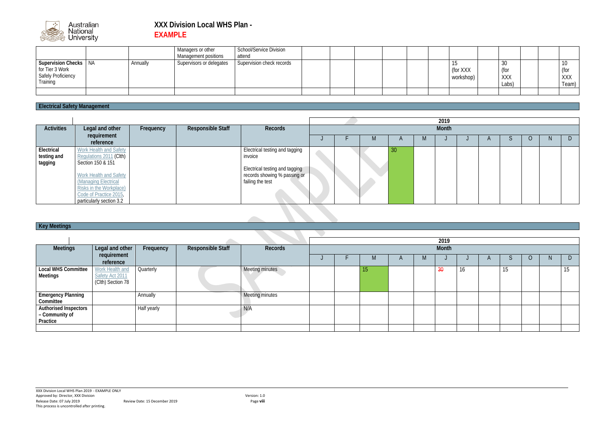

|                                                                              |          | Managers or other<br>Management positions | <b>School/Service Division</b><br>attend |  |  |                        |                            |              |
|------------------------------------------------------------------------------|----------|-------------------------------------------|------------------------------------------|--|--|------------------------|----------------------------|--------------|
| Supervision Checks   NA<br>for Tier 3 Work<br>Safely Proficiency<br>Training | Annually | Supervisors or delegates                  | Supervision check records                |  |  | (for XXX)<br>workshop) | 30<br>(for<br>XXX<br>Labs) | XXX<br>Team) |
|                                                                              |          |                                           |                                          |  |  |                        |                            |              |

### **Electrical Safety Management**

|                                      |                                                                                                                                                                                                                         |           |                          |                                                                                                                                 | 2019 |   |          |            |              |  |  |  |   |  |  |
|--------------------------------------|-------------------------------------------------------------------------------------------------------------------------------------------------------------------------------------------------------------------------|-----------|--------------------------|---------------------------------------------------------------------------------------------------------------------------------|------|---|----------|------------|--------------|--|--|--|---|--|--|
| <b>Activities</b>                    | Legal and other                                                                                                                                                                                                         | Frequency | <b>Responsible Staff</b> | <b>Records</b>                                                                                                                  |      |   |          |            | <b>Month</b> |  |  |  |   |  |  |
|                                      | requirement<br>reference                                                                                                                                                                                                |           |                          |                                                                                                                                 |      | M | $\Gamma$ | <b>IVI</b> |              |  |  |  | U |  |  |
| Electrical<br>testing and<br>tagging | <b>Work Health and Safety</b><br>Regulations 2011 (Clth)<br>Section 150 & 151<br><b>Work Health and Safety</b><br>(Managing Electrical<br>Risks in the Workplace)<br>Code of Practice 2015,<br>particularly section 3.2 |           |                          | Electrical testing and tagging<br>invoice<br>Electrical testing and tagging<br>records showing % passing or<br>failing the test |      |   | 30       |            |              |  |  |  |   |  |  |

#### **Key Meetings**

|                                                            |                                                                |             |                          |                 |  |     |              |     | 2019  |    |                   |    |   |    |
|------------------------------------------------------------|----------------------------------------------------------------|-------------|--------------------------|-----------------|--|-----|--------------|-----|-------|----|-------------------|----|---|----|
| <b>Meetings</b>                                            | Legal and other                                                | Frequency   | <b>Responsible Staff</b> | <b>Records</b>  |  |     |              |     | Month |    |                   |    |   |    |
|                                                            | requirement<br>reference                                       |             |                          |                 |  | IVI | $\mathsf{H}$ | IVI |       |    | $\mathsf{\Gamma}$ |    | U | D. |
| <b>Local WHS Committee</b><br>Meetings                     | <b>Work Health and</b><br>Safety Act 2011<br>(Clth) Section 78 | Quarterly   |                          | Meeting minutes |  | 15  |              |     | 30    | 16 |                   | 15 |   | I5 |
| <b>Emergency Planning</b><br>Committee                     |                                                                | Annually    |                          | Meeting minutes |  |     |              |     |       |    |                   |    |   |    |
| <b>Authorised Inspectors</b><br>- Community of<br>Practice |                                                                | Half yearly |                          | N/A             |  |     |              |     |       |    |                   |    |   |    |
|                                                            |                                                                |             |                          |                 |  |     |              |     |       |    |                   |    |   |    |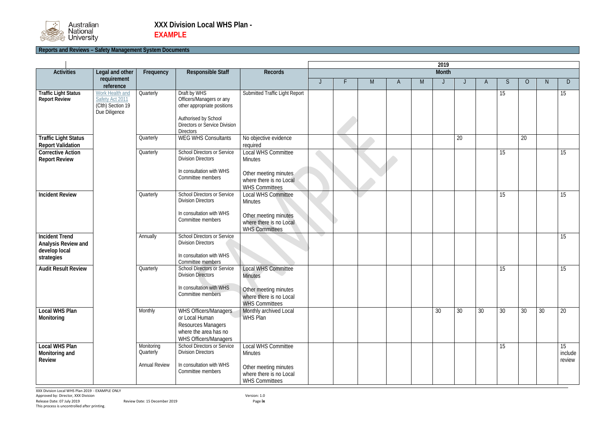

#### **Reports and Reviews – Safety Management System Documents**

|                                                                             |                                                                          |                                                 |                                                                                                                                                             |                                                                                                                           |  |   |   |   | 2019  |    |    |    |        |    |                         |
|-----------------------------------------------------------------------------|--------------------------------------------------------------------------|-------------------------------------------------|-------------------------------------------------------------------------------------------------------------------------------------------------------------|---------------------------------------------------------------------------------------------------------------------------|--|---|---|---|-------|----|----|----|--------|----|-------------------------|
| <b>Activities</b>                                                           | Legal and other                                                          | Frequency                                       | <b>Responsible Staff</b>                                                                                                                                    | <b>Records</b>                                                                                                            |  |   |   |   | Month |    |    |    |        |    |                         |
|                                                                             | requirement<br>reference                                                 |                                                 |                                                                                                                                                             |                                                                                                                           |  | M | A | M |       |    | A  | S  | $\cup$ | N. | $\mathsf{D}$            |
| <b>Traffic Light Status</b><br><b>Report Review</b>                         | Work Health and<br>Safety Act 2011<br>(Clth) Section 19<br>Due Diligence | Quarterly                                       | Draft by WHS<br>Officers/Managers or any<br>other appropriate positions<br>Authorised by School<br><b>Directors or Service Division</b><br><b>Directors</b> | Submitted Traffic Light Report                                                                                            |  |   |   |   |       |    |    | 15 |        |    | 15                      |
| <b>Traffic Light Status</b><br><b>Report Validation</b>                     |                                                                          | Quarterly                                       | <b>WEG WHS Consultants</b>                                                                                                                                  | No objective evidence<br>required                                                                                         |  |   |   |   |       | 20 |    |    | 20     |    |                         |
| <b>Corrective Action</b><br><b>Report Review</b>                            |                                                                          | Quarterly                                       | <b>School Directors or Service</b><br><b>Division Directors</b><br>In consultation with WHS<br>Committee members                                            | <b>Local WHS Committee</b><br><b>Minutes</b><br>Other meeting minutes<br>where there is no Local<br><b>WHS Committees</b> |  |   |   |   |       |    |    | 15 |        |    | 15                      |
| <b>Incident Review</b>                                                      |                                                                          | Quarterly                                       | <b>School Directors or Service</b><br><b>Division Directors</b><br>In consultation with WHS<br>Committee members                                            | <b>Local WHS Committee</b><br><b>Minutes</b><br>Other meeting minutes<br>where there is no Local<br><b>WHS Committees</b> |  |   |   |   |       |    |    | 15 |        |    | 15                      |
| <b>Incident Trend</b><br>Analysis Review and<br>develop local<br>strategies |                                                                          | Annually                                        | <b>School Directors or Service</b><br><b>Division Directors</b><br>In consultation with WHS<br>Committee members                                            |                                                                                                                           |  |   |   |   |       |    |    |    |        |    | 15                      |
| <b>Audit Result Review</b>                                                  |                                                                          | Quarterly                                       | School Directors or Service<br><b>Division Directors</b><br>In consultation with WHS<br>Committee members                                                   | <b>Local WHS Committee</b><br><b>Minutes</b><br>Other meeting minutes<br>where there is no Local<br><b>WHS Committees</b> |  |   |   |   |       |    |    | 15 |        |    | 15                      |
| <b>Local WHS Plan</b><br>Monitoring                                         |                                                                          | Monthly                                         | WHS Officers/Managers<br>or Local Human<br>Resources Managers<br>where the area has no<br>WHS Officers/Managers                                             | Monthly archived Local<br><b>WHS Plan</b>                                                                                 |  |   |   |   | 30    | 30 | 30 | 30 | 30     | 30 | 20                      |
| Local WHS Plan<br>Monitoring and<br>Review                                  |                                                                          | Monitoring<br>Quarterly<br><b>Annual Review</b> | <b>School Directors or Service</b><br><b>Division Directors</b><br>In consultation with WHS<br>Committee members                                            | Local WHS Committee<br><b>Minutes</b><br>Other meeting minutes<br>where there is no Local<br><b>WHS Committees</b>        |  |   |   |   |       |    |    | 15 |        |    | 15<br>include<br>review |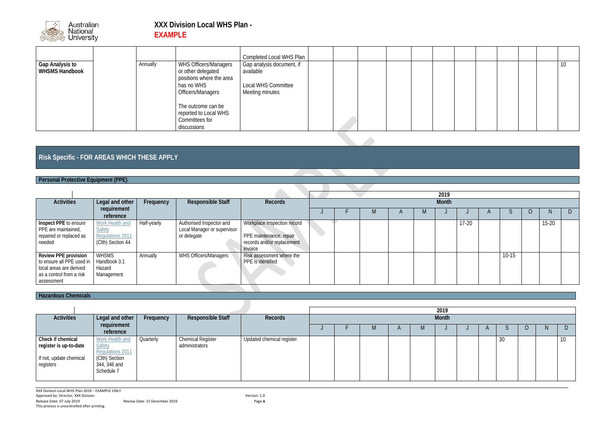

|                                                 |          |                                                                                                                                                                                            | Completed Local WHS Plan                                                                |  |  |  |  |    |
|-------------------------------------------------|----------|--------------------------------------------------------------------------------------------------------------------------------------------------------------------------------------------|-----------------------------------------------------------------------------------------|--|--|--|--|----|
| <b>Gap Analysis to</b><br><b>WHSMS Handbook</b> | Annually | WHS Officers/Managers<br>or other delegated<br>positions where the area<br>has no WHS<br>Officers/Managers<br>The outcome can be<br>reported to Local WHS<br>Committees for<br>discussions | Gap analysis document, if<br>available<br><b>Local WHS Committee</b><br>Meeting minutes |  |  |  |  | 10 |

### **Risk Specific - FOR AREAS WHICH THESE APPLY**

#### **Personal Protective Equipment (PPE)**

|                                                                                                                                              |                                                                           |             |                                                                        |                                                                                                 |  |              | 2019         |           |           |           |   |
|----------------------------------------------------------------------------------------------------------------------------------------------|---------------------------------------------------------------------------|-------------|------------------------------------------------------------------------|-------------------------------------------------------------------------------------------------|--|--------------|--------------|-----------|-----------|-----------|---|
| <b>Activities</b>                                                                                                                            | Legal and other                                                           | Frequency   | <b>Responsible Staff</b>                                               | <b>Records</b>                                                                                  |  |              | <b>Month</b> |           |           |           |   |
|                                                                                                                                              | requirement<br>reference                                                  |             |                                                                        |                                                                                                 |  | $\mathsf{A}$ |              |           |           |           | D |
| Inspect PPE to ensure<br>PPE are maintained,<br>repaired or replaced as<br>needed                                                            | Work Health and<br><b>Safety</b><br>Regulations 2011<br>(Clth) Section 44 | Half-yearly | Authorised Inspector and<br>Local Manager or supervisor<br>or delegate | Workplace Inspection record<br>PPE maintenance, repair<br>records and/or replacement<br>invoice |  |              |              | $17 - 20$ |           | $15 - 20$ |   |
| <b>Review PPE provision</b><br>to ensure all PPE used in   Handbook 3.1<br>local areas are derived<br>as a control from a risk<br>assessment | <b>WHSMS</b><br>Hazard<br>Management                                      | Annually    | WHS Officers/Managers                                                  | Risk assessment where the<br>PPE is identified                                                  |  |              |              |           | $10 - 15$ |           |   |

#### **Hazardous Chemicals**

|                                                                                     |                                                                                               |           |                                            |                           |  |            |           | 2019  |          |    |   |    |
|-------------------------------------------------------------------------------------|-----------------------------------------------------------------------------------------------|-----------|--------------------------------------------|---------------------------|--|------------|-----------|-------|----------|----|---|----|
| <b>Activities</b>                                                                   | Legal and other                                                                               | Frequency | <b>Responsible Staff</b>                   | Records                   |  |            |           | Month |          |    |   |    |
|                                                                                     | requirement<br>reference                                                                      |           |                                            |                           |  | <b>IVI</b> | <b>IV</b> |       | $\Gamma$ |    | ◡ | D  |
| Check if chemical<br>register is up-to-date<br>If not, update chemical<br>registers | Work Health and<br>Safety<br>Regulations 2011<br>(Clth) Section<br>344, 346 and<br>Schedule 7 | Quarterly | <b>Chemical Register</b><br>administrators | Updated chemical register |  |            |           |       |          | 30 |   | 10 |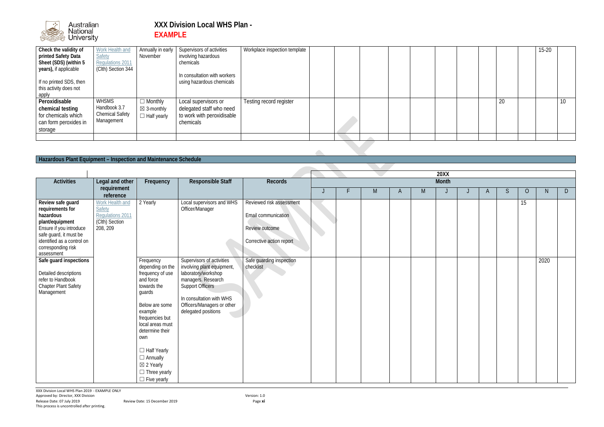

| Check the validity of<br>printed Safety Data<br>Sheet (SDS) (within 5<br>years), if applicable<br>If no printed SDS, then<br>this activity does not<br>apply | <b>Work Health and</b><br><b>Safety</b><br>Regulations 2011<br>(Clth) Section 344 | Annually in early<br>November                                 | Supervisors of activities<br>involving hazardous<br>chemicals<br>In consultation with workers<br>using hazardous chemicals | Workplace inspection template |  |  |  |  |    | $15 - 20$ |                 |
|--------------------------------------------------------------------------------------------------------------------------------------------------------------|-----------------------------------------------------------------------------------|---------------------------------------------------------------|----------------------------------------------------------------------------------------------------------------------------|-------------------------------|--|--|--|--|----|-----------|-----------------|
| Peroxidisable<br>chemical testing<br>for chemicals which<br>can form peroxides in<br>storage                                                                 | <b>WHSMS</b><br>Handbook 3.7<br><b>Chemical Safety</b><br>Management              | $\Box$ Monthly<br>$\boxtimes$ 3-monthly<br>$\Box$ Half yearly | Local supervisors or<br>delegated staff who need<br>to work with peroxidisable<br>chemicals                                | Testing record register       |  |  |  |  | 20 |           | 10 <sup>°</sup> |

 $\mathcal{L}$ 

#### **Hazardous Plant Equipment – Inspection and Maintenance Schedule**

|                                                                       |                                                                        |                                     |                                                         |                                                 |  |   |              |   | <b>20XX</b> |              |    |                |              |              |
|-----------------------------------------------------------------------|------------------------------------------------------------------------|-------------------------------------|---------------------------------------------------------|-------------------------------------------------|--|---|--------------|---|-------------|--------------|----|----------------|--------------|--------------|
| <b>Activities</b>                                                     | Legal and other                                                        | Frequency                           | <b>Responsible Staff</b>                                | <b>Records</b>                                  |  |   |              |   | Month       |              |    |                |              |              |
|                                                                       | requirement                                                            |                                     |                                                         |                                                 |  | M | $\mathsf{A}$ | M |             | $\mathsf{A}$ | S. | $\overline{O}$ | <sup>N</sup> | $\mathsf{D}$ |
|                                                                       | reference                                                              |                                     |                                                         |                                                 |  |   |              |   |             |              |    |                |              |              |
| Review safe guard<br>requirements for<br>hazardous<br>plant/equipment | <b>Work Health and</b><br>Safety<br>Regulations 2011<br>(Clth) Section | 2 Yearly                            | Local supervisors and WHS<br>Officer/Manager            | Reviewed risk assessment<br>Email communication |  |   |              |   |             |              |    | 15             |              |              |
| Ensure if you introduce<br>safe guard, it must be                     | 208, 209                                                               |                                     |                                                         | Review outcome                                  |  |   |              |   |             |              |    |                |              |              |
| identified as a control on<br>corresponding risk<br>assessment        |                                                                        |                                     |                                                         | Corrective action report                        |  |   |              |   |             |              |    |                |              |              |
| Safe guard inspections                                                |                                                                        | Frequency<br>depending on the       | Supervisors of activities<br>involving plant equipment, | Safe guarding inspection<br>checklist           |  |   |              |   |             |              |    |                | 2020         |              |
| Detailed descriptions<br>refer to Handbook                            |                                                                        | frequency of use<br>and force       | laboratory/workshop<br>managers. Research               |                                                 |  |   |              |   |             |              |    |                |              |              |
| <b>Chapter Plant Safety</b>                                           |                                                                        | towards the                         | <b>Support Officers</b>                                 |                                                 |  |   |              |   |             |              |    |                |              |              |
| Management                                                            |                                                                        | guards                              | In consultation with WHS                                |                                                 |  |   |              |   |             |              |    |                |              |              |
|                                                                       |                                                                        | Below are some                      | Officers/Managers or other                              |                                                 |  |   |              |   |             |              |    |                |              |              |
|                                                                       |                                                                        | example                             | delegated positions                                     |                                                 |  |   |              |   |             |              |    |                |              |              |
|                                                                       |                                                                        | frequencies but<br>local areas must |                                                         |                                                 |  |   |              |   |             |              |    |                |              |              |
|                                                                       |                                                                        | determine their                     |                                                         |                                                 |  |   |              |   |             |              |    |                |              |              |
|                                                                       |                                                                        | own                                 |                                                         |                                                 |  |   |              |   |             |              |    |                |              |              |
|                                                                       |                                                                        | □ Half Yearly                       |                                                         |                                                 |  |   |              |   |             |              |    |                |              |              |
|                                                                       |                                                                        | $\Box$ Annually                     |                                                         |                                                 |  |   |              |   |             |              |    |                |              |              |
|                                                                       |                                                                        | $\boxtimes$ 2 Yearly                |                                                         |                                                 |  |   |              |   |             |              |    |                |              |              |
|                                                                       |                                                                        | $\Box$ Three yearly                 |                                                         |                                                 |  |   |              |   |             |              |    |                |              |              |
|                                                                       |                                                                        | $\Box$ Five yearly                  |                                                         |                                                 |  |   |              |   |             |              |    |                |              |              |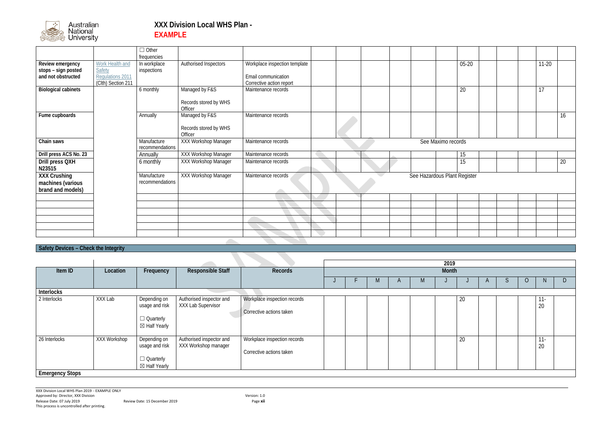

|                                                               |                                                                     | $\Box$ Other<br>frequencies    |                                                    |                                                                                  |  |  |                              |  |         |    |
|---------------------------------------------------------------|---------------------------------------------------------------------|--------------------------------|----------------------------------------------------|----------------------------------------------------------------------------------|--|--|------------------------------|--|---------|----|
| Review emergency<br>stops - sign posted<br>and not obstructed | Work Health and<br>Safety<br>Regulations 2011<br>(Clth) Section 211 | In workplace<br>inspections    | Authorised Inspectors                              | Workplace inspection template<br>Email communication<br>Corrective action report |  |  | $05 - 20$                    |  | $11-20$ |    |
| <b>Biological cabinets</b>                                    |                                                                     | 6 monthly                      | Managed by F&S<br>Records stored by WHS<br>Officer | Maintenance records                                                              |  |  | 20                           |  | 17      |    |
| Fume cupboards                                                |                                                                     | Annually                       | Managed by F&S<br>Records stored by WHS<br>Officer | Maintenance records                                                              |  |  |                              |  |         | 16 |
| Chain saws                                                    |                                                                     | Manufacture<br>recommendations | XXX Workshop Manager                               | Maintenance records                                                              |  |  | See Maximo records           |  |         |    |
| Drill press ACS No. 23                                        |                                                                     | Annually                       | XXX Workshop Manager                               | Maintenance records                                                              |  |  | 15                           |  |         |    |
| Drill press QXH<br>N23515                                     |                                                                     | 6 monthly                      | XXX Workshop Manager                               | Maintenance records                                                              |  |  | 15                           |  |         | 20 |
| <b>XXX Crushing</b><br>machines (various<br>brand and models) |                                                                     | Manufacture<br>recommendations | <b>XXX Workshop Manager</b>                        | Maintenance records                                                              |  |  | See Hazardous Plant Register |  |         |    |
|                                                               |                                                                     |                                |                                                    |                                                                                  |  |  |                              |  |         |    |
|                                                               |                                                                     |                                |                                                    |                                                                                  |  |  |                              |  |         |    |
|                                                               |                                                                     |                                |                                                    |                                                                                  |  |  |                              |  |         |    |
|                                                               |                                                                     |                                |                                                    |                                                                                  |  |  |                              |  |         |    |
|                                                               |                                                                     |                                |                                                    |                                                                                  |  |  |                              |  |         |    |
|                                                               |                                                                     |                                |                                                    |                                                                                  |  |  |                              |  |         |    |

#### **Safety Devices – Check the Integrity**

|                        |              |                                                                |                                                  |                                                          |  |            |          | 2019  |    |  |        |                   |    |
|------------------------|--------------|----------------------------------------------------------------|--------------------------------------------------|----------------------------------------------------------|--|------------|----------|-------|----|--|--------|-------------------|----|
| Item ID                | Location     | Frequency                                                      | <b>Responsible Staff</b>                         | Records                                                  |  |            |          | Month |    |  |        |                   |    |
|                        |              |                                                                |                                                  |                                                          |  | <b>IVI</b> | <b>M</b> |       |    |  | $\cup$ |                   | D. |
| Interlocks             |              |                                                                |                                                  |                                                          |  |            |          |       |    |  |        |                   |    |
| 2 Interlocks           | XXX Lab      | Depending on<br>usage and risk                                 | Authorised inspector and<br>XXX Lab Supervisor   | Workplace inspection records<br>Corrective actions taken |  |            |          |       | 20 |  |        | $\pm 1$<br>20     |    |
|                        |              | □ Quarterly<br>⊠ Half Yearly                                   |                                                  |                                                          |  |            |          |       |    |  |        |                   |    |
| 26 Interlocks          | XXX Workshop | Depending on<br>usage and risk<br>□ Quarterly<br>⊠ Half Yearly | Authorised inspector and<br>XXX Workshop manager | Workplace inspection records<br>Corrective actions taken |  |            |          |       | 20 |  |        | 11<br>$11-$<br>20 |    |
| <b>Emergency Stops</b> |              |                                                                |                                                  |                                                          |  |            |          |       |    |  |        |                   |    |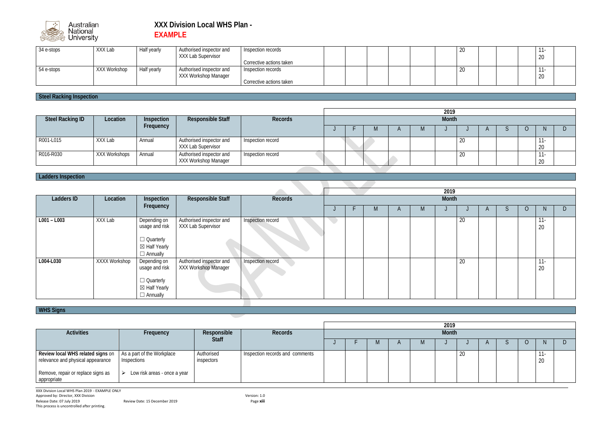

| 34 e-stops   | XXX Lab      | Half yearly | Authorised inspector and<br>XXX Lab Supervisor | Inspection records       |  |  | 20 | -115<br>20 |
|--------------|--------------|-------------|------------------------------------------------|--------------------------|--|--|----|------------|
|              |              |             |                                                | Corrective actions taken |  |  |    |            |
| $54$ e-stops | XXX Workshop | Half yearly | Authorised inspector and                       | Inspection records       |  |  | 20 |            |
|              |              |             | XXX Workshop Manager                           |                          |  |  |    | 20         |
|              |              |             |                                                | Corrective actions taken |  |  |    |            |

#### **Steel Racking Inspection**

|                         |                      |            |                                                  |                   |       |  |  |  |  | 2019 |    |  |  |  |                        |  |
|-------------------------|----------------------|------------|--------------------------------------------------|-------------------|-------|--|--|--|--|------|----|--|--|--|------------------------|--|
| <b>Steel Racking ID</b> | Location             | Inspection | <b>Responsible Staff</b>                         | <b>Records</b>    | Month |  |  |  |  |      |    |  |  |  |                        |  |
|                         |                      | Frequency  |                                                  |                   |       |  |  |  |  |      |    |  |  |  | <b>IV</b>              |  |
| R001-L015               | XXX Lab              | Annual     | Authorised inspector and<br>XXX Lab Supervisor   | Inspection record |       |  |  |  |  |      | 20 |  |  |  | $\sim$<br>$\sim$<br>ZU |  |
| R016-R030               | <b>XXX Workshops</b> | Annual     | Authorised inspector and<br>XXX Workshop Manager | Inspection record |       |  |  |  |  |      | ZU |  |  |  | $\sim$<br>ZU           |  |

#### **Ladders Inspection**

|               |               |                                                                                        |                                                  |                   |  |            |           | 2019         |    |   |   |                          |  |
|---------------|---------------|----------------------------------------------------------------------------------------|--------------------------------------------------|-------------------|--|------------|-----------|--------------|----|---|---|--------------------------|--|
| Ladders ID    | Location      | Inspection                                                                             | <b>Responsible Staff</b>                         | Records           |  |            |           | <b>Month</b> |    |   |   |                          |  |
|               |               | Frequency                                                                              |                                                  |                   |  | <b>IVI</b> | <b>IV</b> |              |    | H | U |                          |  |
| $L001 - L003$ | XXX Lab       | Depending on<br>usage and risk<br>$\Box$ Quarterly<br>⊠ Half Yearly<br>$\Box$ Annually | Authorised inspector and<br>XXX Lab Supervisor   | Inspection record |  |            |           |              | 20 |   |   | $11 -$<br>20             |  |
| L004-L030     | XXXX Workshop | Depending on<br>usage and risk<br>□ Quarterly<br>⊠ Half Yearly<br>$\Box$ Annually      | Authorised inspector and<br>XXX Workshop Manager | Inspection record |  |            |           |              | 20 |   |   | 11<br>$\mathbf{H}$<br>20 |  |

#### **WHS Signs**

|                                                                        |                                           |                          |                                 |  |              | 2019 |    |   |   |                              |  |
|------------------------------------------------------------------------|-------------------------------------------|--------------------------|---------------------------------|--|--------------|------|----|---|---|------------------------------|--|
| <b>Activities</b>                                                      | Frequency                                 | Records                  |                                 |  | <b>Month</b> |      |    |   |   |                              |  |
|                                                                        | <b>Staff</b>                              |                          |                                 |  | $\mathsf{A}$ |      |    | H | Û |                              |  |
| Review local WHS related signs on<br>relevance and physical appearance | As a part of the Workplace<br>Inspections | Authorised<br>inspectors | Inspection records and comments |  |              |      | 20 |   |   | 11<br>$\Box$<br>$\sim$<br>ZU |  |
| Remove, repair or replace signs as<br>appropriate                      | Low risk areas - once a year<br>➤         |                          |                                 |  |              |      |    |   |   |                              |  |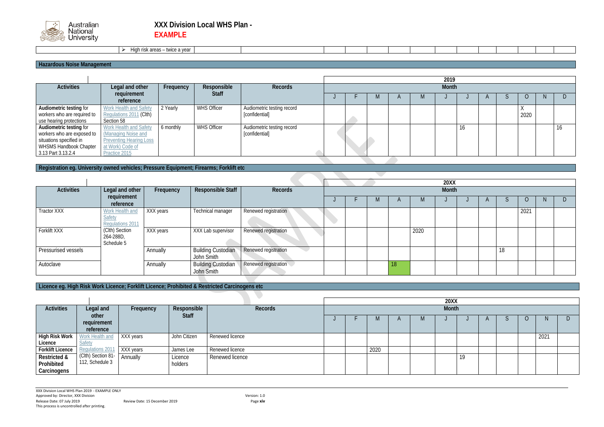

 $\triangleright$  High risk areas – twice a year

#### **Hazardous Noise Management**

|                               |                                |           |                    |                            |              |  |  |  |  |              |  | 2019 |    |                |      |  |  |
|-------------------------------|--------------------------------|-----------|--------------------|----------------------------|--------------|--|--|--|--|--------------|--|------|----|----------------|------|--|--|
| <b>Activities</b>             | Legal and other                | Frequency | Responsible        | <b>Records</b>             | <b>Month</b> |  |  |  |  |              |  |      |    |                |      |  |  |
|                               | requirement<br>reference       |           | <b>Staff</b>       |                            |              |  |  |  |  | $\mathsf{A}$ |  |      |    | $\overline{A}$ |      |  |  |
| Audiometric testing for       | <b>Work Health and Safety</b>  | 2 Yearly  | <b>WHS Officer</b> | Audiometric testing record |              |  |  |  |  |              |  |      |    |                |      |  |  |
| workers who are required to   | Regulations 2011 (Clth)        |           |                    | [confidential]             |              |  |  |  |  |              |  |      |    |                | 2020 |  |  |
| use hearing protections       | Section 58                     |           |                    |                            |              |  |  |  |  |              |  |      |    |                |      |  |  |
| Audiometric testing for       | <b>Work Health and Safety</b>  | 6 monthly | <b>WHS Officer</b> | Audiometric testing record |              |  |  |  |  |              |  |      | 16 |                |      |  |  |
| workers who are exposed to    | (Managing Noise and            |           |                    | [confidential]             |              |  |  |  |  |              |  |      |    |                |      |  |  |
| situations specified in       | <b>Preventing Hearing Loss</b> |           |                    |                            |              |  |  |  |  |              |  |      |    |                |      |  |  |
| <b>WHSMS Handbook Chapter</b> | at Work) Code of               |           |                    |                            |              |  |  |  |  |              |  |      |    |                |      |  |  |
| 3.13 Part 3.13.2.4            | Practice 2015                  |           |                    |                            |              |  |  |  |  |              |  |      |    |                |      |  |  |

**Registration eg. University owned vehicles; Pressure Equipment; Firearms; Forklift etc**

|                     |                                                      |           |                                         |                      |  |  |    |            | 20XX         |  |    |      |  |
|---------------------|------------------------------------------------------|-----------|-----------------------------------------|----------------------|--|--|----|------------|--------------|--|----|------|--|
| <b>Activities</b>   | Legal and other                                      | Frequency | Responsible Staff                       | Records              |  |  |    |            | <b>Month</b> |  |    |      |  |
|                     | requirement<br>reference                             |           |                                         |                      |  |  | H  | <b>IVI</b> |              |  |    |      |  |
| <b>Tractor XXX</b>  | Work Health and<br><b>Safety</b><br>Regulations 2011 | XXX years | Technical manager                       | Renewed registration |  |  |    |            |              |  |    | 2021 |  |
| Forklift XXX        | (Clth) Section<br>264-288D,<br>Schedule 5            | XXX years | XXX Lab supervisor                      | Renewed registration |  |  |    | 2020       |              |  |    |      |  |
| Pressurised vessels |                                                      | Annually  | <b>Building Custodian</b><br>John Smith | Renewed registration |  |  |    |            |              |  | 18 |      |  |
| Autoclave           |                                                      | Annually  | <b>Building Custodian</b><br>John Smith | Renewed registration |  |  | 18 |            |              |  |    |      |  |

**Licence eg. High Risk Work Licence; Forklift Licence; Prohibited & Restricted Carcinogens etc** 

|                                                      |                                       |           |                    |                 |  |      |          | <b>20XX</b>  |    |  |      |  |
|------------------------------------------------------|---------------------------------------|-----------|--------------------|-----------------|--|------|----------|--------------|----|--|------|--|
| <b>Activities</b>                                    | Legal and                             | Frequency | Responsible        | <b>Records</b>  |  |      |          | <b>Month</b> |    |  |      |  |
|                                                      | other<br>requirement<br>reference     |           | <b>Staff</b>       |                 |  |      | <b>M</b> |              |    |  |      |  |
| <b>High Risk Work</b><br>Licence                     | Work Health and<br>Safety             | XXX years | John Citizen       | Renewed licence |  |      |          |              |    |  | 2021 |  |
| <b>Forklift Licence</b>                              | Regulations 2011                      | XXX years | James Lee          | Renewed licence |  | 2020 |          |              |    |  |      |  |
| <b>Restricted &amp;</b><br>Prohibited<br>Carcinogens | (Clth) Section 81-<br>112, Schedule 3 | Annually  | Licence<br>holders | Renewed licence |  |      |          |              | 19 |  |      |  |